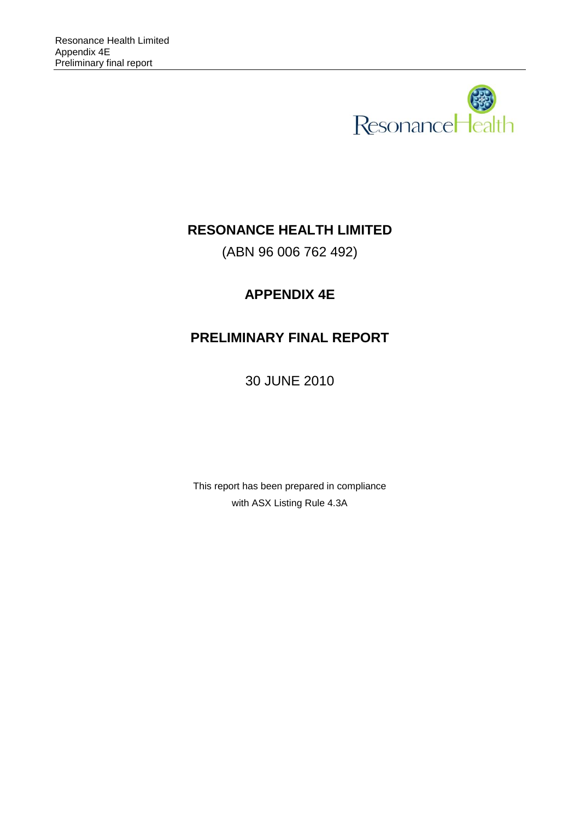

# **RESONANCE HEALTH LIMITED**

(ABN 96 006 762 492)

# **APPENDIX 4E**

# **PRELIMINARY FINAL REPORT**

30 JUNE 2010

This report has been prepared in compliance with ASX Listing Rule 4.3A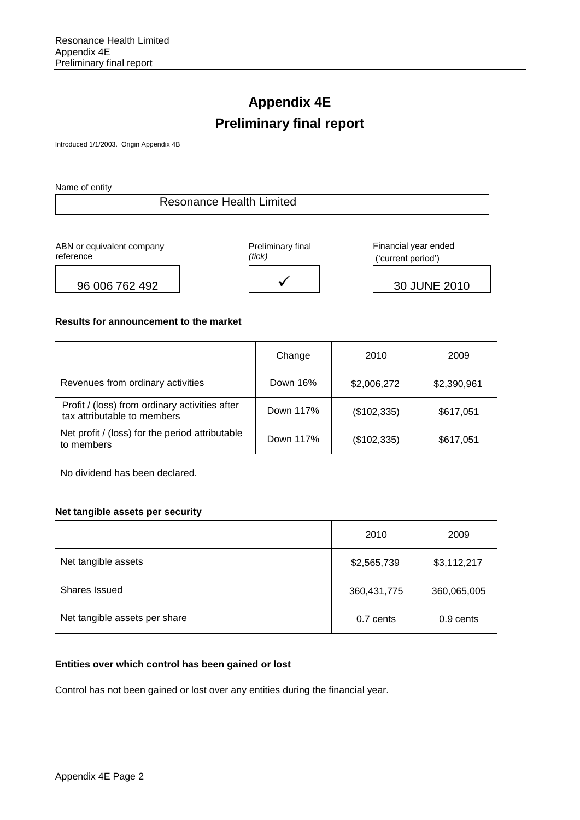# **Appendix 4E Preliminary final report**

Introduced 1/1/2003. Origin Appendix 4B

Name of entity

## Resonance Health Limited

ABN or equivalent company reference



Financial year ended ('current period')

### **Results for announcement to the market**

|                                                                               | Change    | 2010        | 2009        |
|-------------------------------------------------------------------------------|-----------|-------------|-------------|
| Revenues from ordinary activities                                             | Down 16%  | \$2,006,272 | \$2,390,961 |
| Profit / (loss) from ordinary activities after<br>tax attributable to members | Down 117% | (\$102,335) | \$617,051   |
| Net profit / (loss) for the period attributable<br>to members                 | Down 117% | (\$102,335) | \$617,051   |

No dividend has been declared.

### **Net tangible assets per security**

|                               | 2010        | 2009        |
|-------------------------------|-------------|-------------|
| Net tangible assets           | \$2,565,739 | \$3,112,217 |
| Shares Issued                 | 360,431,775 | 360,065,005 |
| Net tangible assets per share | 0.7 cents   | 0.9 cents   |

### **Entities over which control has been gained or lost**

Control has not been gained or lost over any entities during the financial year.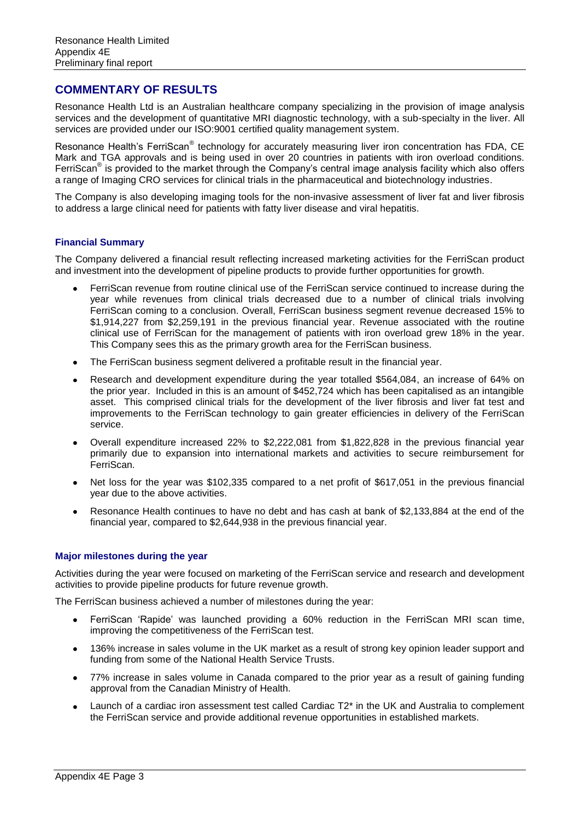### **COMMENTARY OF RESULTS**

Resonance Health Ltd is an Australian healthcare company specializing in the provision of image analysis services and the development of quantitative MRI diagnostic technology, with a sub-specialty in the liver. All services are provided under our ISO:9001 certified quality management system.

Resonance Health's FerriScan® technology for accurately measuring liver iron concentration has FDA, CE Mark and TGA approvals and is being used in over 20 countries in patients with iron overload conditions. FerriScan® is provided to the market through the Company's central image analysis facility which also offers a range of Imaging CRO services for clinical trials in the pharmaceutical and biotechnology industries.

The Company is also developing imaging tools for the non-invasive assessment of liver fat and liver fibrosis to address a large clinical need for patients with fatty liver disease and viral hepatitis.

### **Financial Summary**

The Company delivered a financial result reflecting increased marketing activities for the FerriScan product and investment into the development of pipeline products to provide further opportunities for growth.

- FerriScan revenue from routine clinical use of the FerriScan service continued to increase during the  $\bullet$ year while revenues from clinical trials decreased due to a number of clinical trials involving FerriScan coming to a conclusion. Overall, FerriScan business segment revenue decreased 15% to \$1,914,227 from \$2,259,191 in the previous financial year. Revenue associated with the routine clinical use of FerriScan for the management of patients with iron overload grew 18% in the year. This Company sees this as the primary growth area for the FerriScan business.
- The FerriScan business segment delivered a profitable result in the financial year.  $\bullet$
- Research and development expenditure during the year totalled \$564,084, an increase of 64% on the prior year. Included in this is an amount of \$452,724 which has been capitalised as an intangible asset. This comprised clinical trials for the development of the liver fibrosis and liver fat test and improvements to the FerriScan technology to gain greater efficiencies in delivery of the FerriScan service.
- Overall expenditure increased 22% to \$2,222,081 from \$1,822,828 in the previous financial year  $\bullet$ primarily due to expansion into international markets and activities to secure reimbursement for FerriScan.
- Net loss for the year was \$102,335 compared to a net profit of \$617,051 in the previous financial year due to the above activities.
- Resonance Health continues to have no debt and has cash at bank of \$2,133,884 at the end of the  $\bullet$ financial year, compared to \$2,644,938 in the previous financial year.

#### **Major milestones during the year**

Activities during the year were focused on marketing of the FerriScan service and research and development activities to provide pipeline products for future revenue growth.

The FerriScan business achieved a number of milestones during the year:

- FerriScan 'Rapide' was launched providing a 60% reduction in the FerriScan MRI scan time,  $\bullet$ improving the competitiveness of the FerriScan test.
- 136% increase in sales volume in the UK market as a result of strong key opinion leader support and funding from some of the National Health Service Trusts.
- 77% increase in sales volume in Canada compared to the prior year as a result of gaining funding approval from the Canadian Ministry of Health.
- Launch of a cardiac iron assessment test called Cardiac T2\* in the UK and Australia to complement  $\bullet$ the FerriScan service and provide additional revenue opportunities in established markets.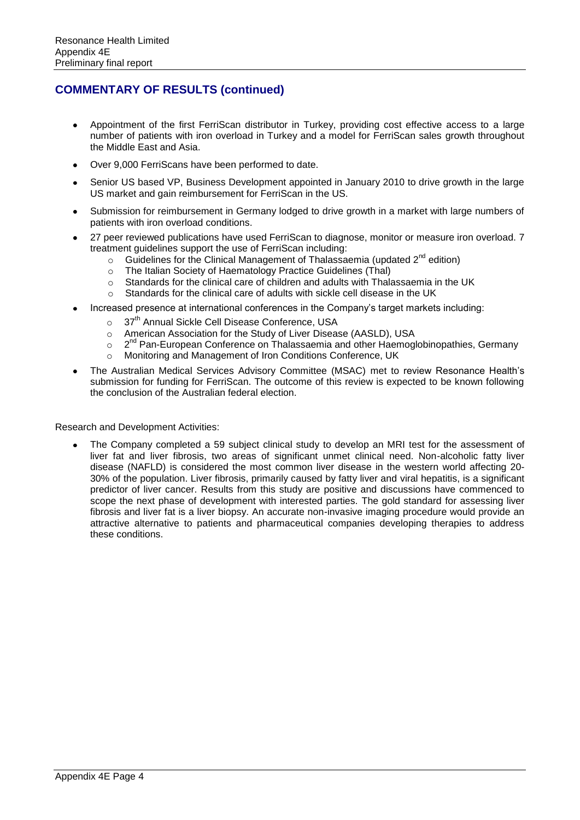# **COMMENTARY OF RESULTS (continued)**

- Appointment of the first FerriScan distributor in Turkey, providing cost effective access to a large  $\bullet$ number of patients with iron overload in Turkey and a model for FerriScan sales growth throughout the Middle East and Asia.
- Over 9,000 FerriScans have been performed to date.
- Senior US based VP, Business Development appointed in January 2010 to drive growth in the large  $\bullet$ US market and gain reimbursement for FerriScan in the US.
- Submission for reimbursement in Germany lodged to drive growth in a market with large numbers of  $\bullet$ patients with iron overload conditions.
- 27 peer reviewed publications have used FerriScan to diagnose, monitor or measure iron overload. 7 treatment guidelines support the use of FerriScan including:
	- $\circ$  Guidelines for the Clinical Management of Thalassaemia (updated  $2^{nd}$  edition)
	- o The Italian Society of Haematology Practice Guidelines (Thal)
	- $\circ$  Standards for the clinical care of children and adults with Thalassaemia in the UK
	- o Standards for the clinical care of adults with sickle cell disease in the UK
- Increased presence at international conferences in the Company's target markets including:
	- 37<sup>th</sup> Annual Sickle Cell Disease Conference, USA
	- o American Association for the Study of Liver Disease (AASLD), USA
	- $\circ$ 2<sup>nd</sup> Pan-European Conference on Thalassaemia and other Haemoglobinopathies, Germany
	- o Monitoring and Management of Iron Conditions Conference, UK
- The Australian Medical Services Advisory Committee (MSAC) met to review Resonance Health's submission for funding for FerriScan. The outcome of this review is expected to be known following the conclusion of the Australian federal election.

Research and Development Activities:

The Company completed a 59 subject clinical study to develop an MRI test for the assessment of liver fat and liver fibrosis, two areas of significant unmet clinical need. Non-alcoholic fatty liver disease (NAFLD) is considered the most common liver disease in the western world affecting 20- 30% of the population. Liver fibrosis, primarily caused by fatty liver and viral hepatitis, is a significant predictor of liver cancer. Results from this study are positive and discussions have commenced to scope the next phase of development with interested parties. The gold standard for assessing liver fibrosis and liver fat is a liver biopsy. An accurate non-invasive imaging procedure would provide an attractive alternative to patients and pharmaceutical companies developing therapies to address these conditions.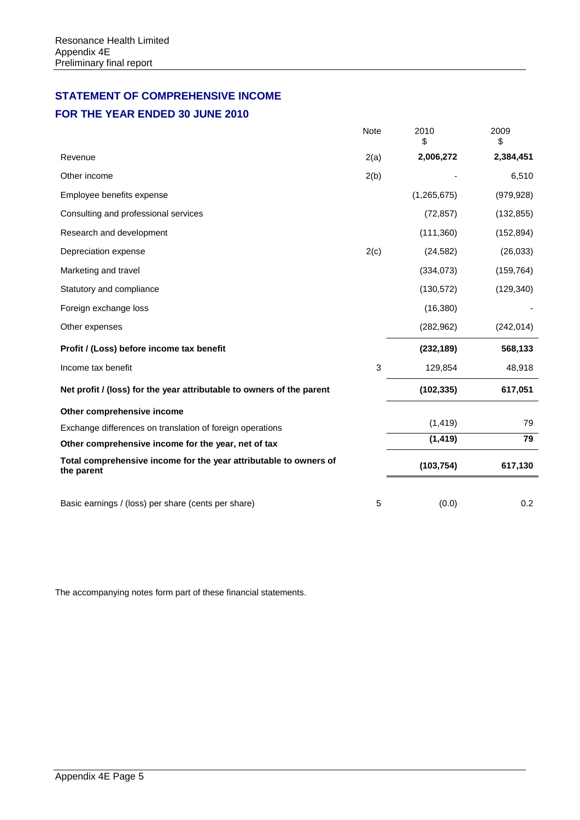# **STATEMENT OF COMPREHENSIVE INCOME FOR THE YEAR ENDED 30 JUNE 2010**

|                                                                                 | Note | 2010<br>S.  | 2009<br>S. |
|---------------------------------------------------------------------------------|------|-------------|------------|
| Revenue                                                                         | 2(a) | 2,006,272   | 2,384,451  |
| Other income                                                                    | 2(b) |             | 6,510      |
| Employee benefits expense                                                       |      | (1,265,675) | (979, 928) |
| Consulting and professional services                                            |      | (72, 857)   | (132, 855) |
| Research and development                                                        |      | (111,360)   | (152, 894) |
| Depreciation expense                                                            | 2(c) | (24, 582)   | (26, 033)  |
| Marketing and travel                                                            |      | (334,073)   | (159, 764) |
| Statutory and compliance                                                        |      | (130, 572)  | (129, 340) |
| Foreign exchange loss                                                           |      | (16, 380)   |            |
| Other expenses                                                                  |      | (282, 962)  | (242, 014) |
| Profit / (Loss) before income tax benefit                                       |      | (232, 189)  | 568,133    |
| Income tax benefit                                                              | 3    | 129,854     | 48,918     |
| Net profit / (loss) for the year attributable to owners of the parent           |      | (102, 335)  | 617,051    |
| Other comprehensive income                                                      |      |             |            |
| Exchange differences on translation of foreign operations                       |      | (1, 419)    | 79         |
| Other comprehensive income for the year, net of tax                             |      | (1, 419)    | 79         |
| Total comprehensive income for the year attributable to owners of<br>the parent |      | (103, 754)  | 617,130    |
|                                                                                 |      |             |            |
| Basic earnings / (loss) per share (cents per share)                             | 5    | (0.0)       | 0.2        |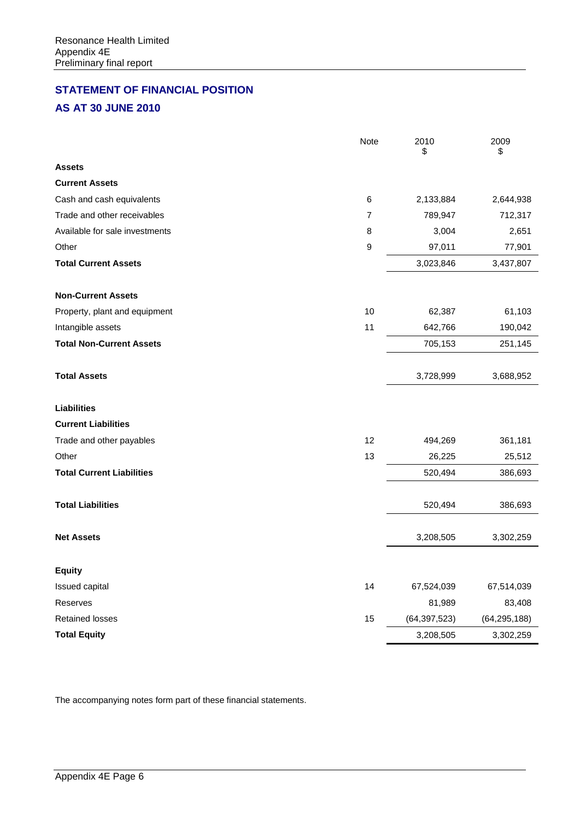# **STATEMENT OF FINANCIAL POSITION AS AT 30 JUNE 2010**

|                                  | Note             | 2010<br>\$     | 2009<br>\$     |
|----------------------------------|------------------|----------------|----------------|
| <b>Assets</b>                    |                  |                |                |
| <b>Current Assets</b>            |                  |                |                |
| Cash and cash equivalents        | 6                | 2,133,884      | 2,644,938      |
| Trade and other receivables      | $\overline{7}$   | 789,947        | 712,317        |
| Available for sale investments   | $\bf8$           | 3,004          | 2,651          |
| Other                            | $\boldsymbol{9}$ | 97,011         | 77,901         |
| <b>Total Current Assets</b>      |                  | 3,023,846      | 3,437,807      |
| <b>Non-Current Assets</b>        |                  |                |                |
| Property, plant and equipment    | 10               | 62,387         | 61,103         |
| Intangible assets                | 11               | 642,766        | 190,042        |
| <b>Total Non-Current Assets</b>  |                  | 705,153        | 251,145        |
| <b>Total Assets</b>              |                  | 3,728,999      | 3,688,952      |
| <b>Liabilities</b>               |                  |                |                |
| <b>Current Liabilities</b>       |                  |                |                |
| Trade and other payables         | 12               | 494,269        | 361,181        |
| Other                            | 13               | 26,225         | 25,512         |
| <b>Total Current Liabilities</b> |                  | 520,494        | 386,693        |
| <b>Total Liabilities</b>         |                  | 520,494        | 386,693        |
| <b>Net Assets</b>                |                  | 3,208,505      | 3,302,259      |
| <b>Equity</b>                    |                  |                |                |
| Issued capital                   | 14               | 67,524,039     | 67,514,039     |
| Reserves                         |                  | 81,989         | 83,408         |
| <b>Retained losses</b>           | 15               | (64, 397, 523) | (64, 295, 188) |
| <b>Total Equity</b>              |                  | 3,208,505      | 3,302,259      |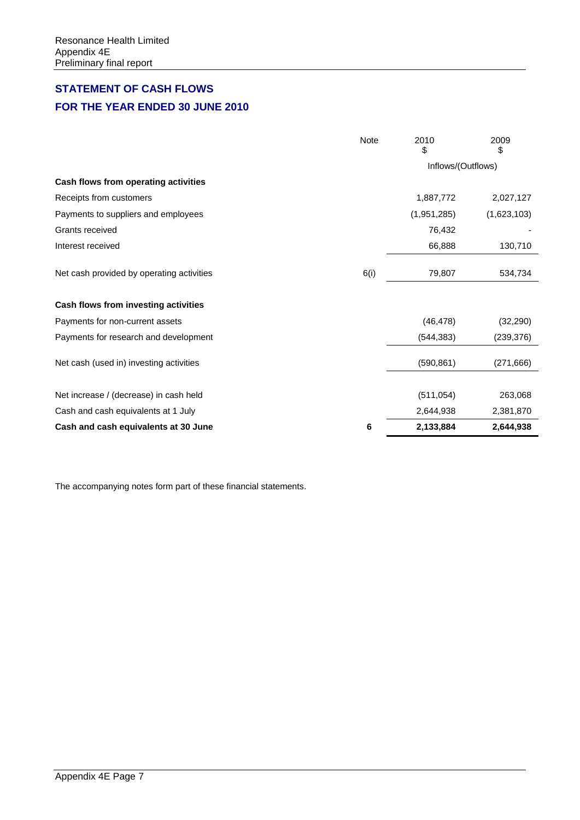# **STATEMENT OF CASH FLOWS FOR THE YEAR ENDED 30 JUNE 2010**

|                                           | <b>Note</b> | 2010<br>\$         | 2009<br>\$  |
|-------------------------------------------|-------------|--------------------|-------------|
|                                           |             | Inflows/(Outflows) |             |
| Cash flows from operating activities      |             |                    |             |
| Receipts from customers                   |             | 1,887,772          | 2,027,127   |
| Payments to suppliers and employees       |             | (1,951,285)        | (1,623,103) |
| Grants received                           |             | 76,432             |             |
| Interest received                         |             | 66,888             | 130,710     |
| Net cash provided by operating activities | 6(i)        | 79,807             | 534,734     |
| Cash flows from investing activities      |             |                    |             |
| Payments for non-current assets           |             | (46, 478)          | (32, 290)   |
| Payments for research and development     |             | (544, 383)         | (239, 376)  |
| Net cash (used in) investing activities   |             | (590, 861)         | (271, 666)  |
| Net increase / (decrease) in cash held    |             | (511, 054)         | 263,068     |
| Cash and cash equivalents at 1 July       |             | 2,644,938          | 2,381,870   |
| Cash and cash equivalents at 30 June      | 6           | 2,133,884          | 2,644,938   |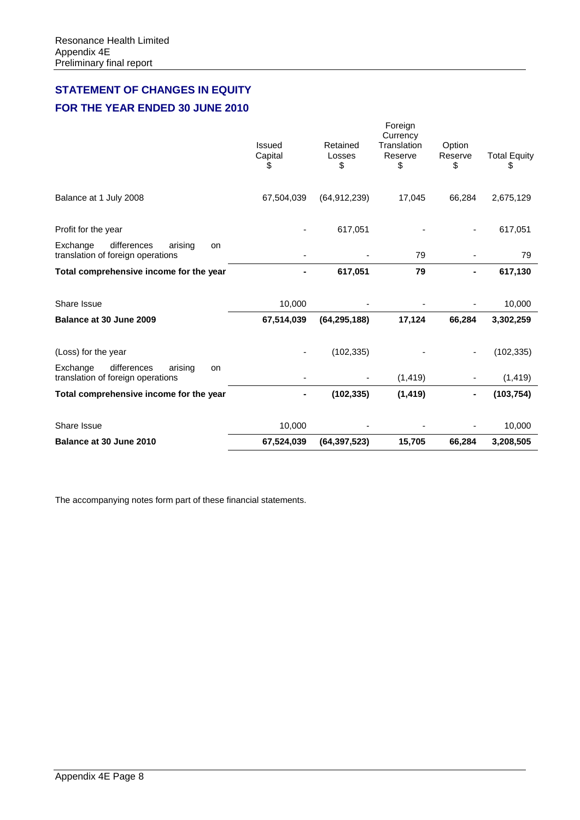# **STATEMENT OF CHANGES IN EQUITY FOR THE YEAR ENDED 30 JUNE 2010**

| Balance at 30 June 2010                                                       | 67,524,039              | (64, 397, 523)           | 15,705                                              | 66,284                  | 3,208,505                 |
|-------------------------------------------------------------------------------|-------------------------|--------------------------|-----------------------------------------------------|-------------------------|---------------------------|
| Share Issue                                                                   | 10,000                  |                          |                                                     |                         | 10,000                    |
| Total comprehensive income for the year                                       |                         | (102, 335)               | (1, 419)                                            |                         | (103, 754)                |
| Exchange<br>differences<br>arising<br>on<br>translation of foreign operations |                         |                          | (1, 419)                                            |                         | (1, 419)                  |
| (Loss) for the year                                                           |                         | (102, 335)               |                                                     |                         | (102, 335)                |
| Balance at 30 June 2009                                                       | 67,514,039              | (64, 295, 188)           | 17,124                                              | 66,284                  | 3,302,259                 |
| Share Issue                                                                   | 10,000                  |                          |                                                     |                         | 10,000                    |
| Total comprehensive income for the year                                       |                         | 617,051                  | 79                                                  |                         | 617,130                   |
| Exchange<br>differences<br>arising<br>on<br>translation of foreign operations |                         |                          | 79                                                  |                         | 79                        |
| Profit for the year                                                           |                         | 617,051                  |                                                     |                         | 617,051                   |
| Balance at 1 July 2008                                                        | 67,504,039              | (64, 912, 239)           | 17,045                                              | 66,284                  | 2,675,129                 |
|                                                                               | Issued<br>Capital<br>\$ | Retained<br>Losses<br>\$ | Foreign<br>Currency<br>Translation<br>Reserve<br>\$ | Option<br>Reserve<br>\$ | <b>Total Equity</b><br>\$ |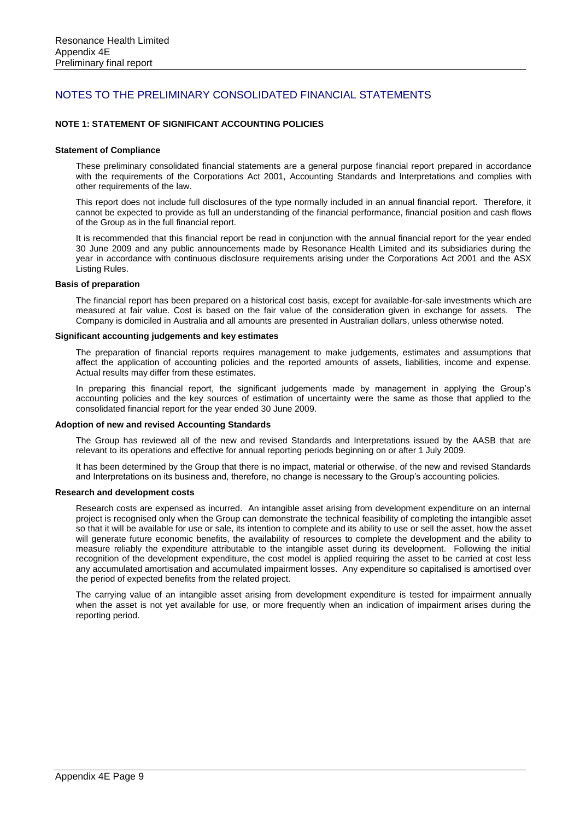### **NOTE 1: STATEMENT OF SIGNIFICANT ACCOUNTING POLICIES**

#### **Statement of Compliance**

These preliminary consolidated financial statements are a general purpose financial report prepared in accordance with the requirements of the Corporations Act 2001, Accounting Standards and Interpretations and complies with other requirements of the law.

This report does not include full disclosures of the type normally included in an annual financial report. Therefore, it cannot be expected to provide as full an understanding of the financial performance, financial position and cash flows of the Group as in the full financial report.

It is recommended that this financial report be read in conjunction with the annual financial report for the year ended 30 June 2009 and any public announcements made by Resonance Health Limited and its subsidiaries during the year in accordance with continuous disclosure requirements arising under the Corporations Act 2001 and the ASX Listing Rules.

#### **Basis of preparation**

The financial report has been prepared on a historical cost basis, except for available-for-sale investments which are measured at fair value. Cost is based on the fair value of the consideration given in exchange for assets. The Company is domiciled in Australia and all amounts are presented in Australian dollars, unless otherwise noted.

#### **Significant accounting judgements and key estimates**

The preparation of financial reports requires management to make judgements, estimates and assumptions that affect the application of accounting policies and the reported amounts of assets, liabilities, income and expense. Actual results may differ from these estimates.

In preparing this financial report, the significant judgements made by management in applying the Group's accounting policies and the key sources of estimation of uncertainty were the same as those that applied to the consolidated financial report for the year ended 30 June 2009.

#### **Adoption of new and revised Accounting Standards**

The Group has reviewed all of the new and revised Standards and Interpretations issued by the AASB that are relevant to its operations and effective for annual reporting periods beginning on or after 1 July 2009.

It has been determined by the Group that there is no impact, material or otherwise, of the new and revised Standards and Interpretations on its business and, therefore, no change is necessary to the Group's accounting policies.

#### **Research and development costs**

Research costs are expensed as incurred. An intangible asset arising from development expenditure on an internal project is recognised only when the Group can demonstrate the technical feasibility of completing the intangible asset so that it will be available for use or sale, its intention to complete and its ability to use or sell the asset, how the asset will generate future economic benefits, the availability of resources to complete the development and the ability to measure reliably the expenditure attributable to the intangible asset during its development. Following the initial recognition of the development expenditure, the cost model is applied requiring the asset to be carried at cost less any accumulated amortisation and accumulated impairment losses. Any expenditure so capitalised is amortised over the period of expected benefits from the related project.

The carrying value of an intangible asset arising from development expenditure is tested for impairment annually when the asset is not yet available for use, or more frequently when an indication of impairment arises during the reporting period.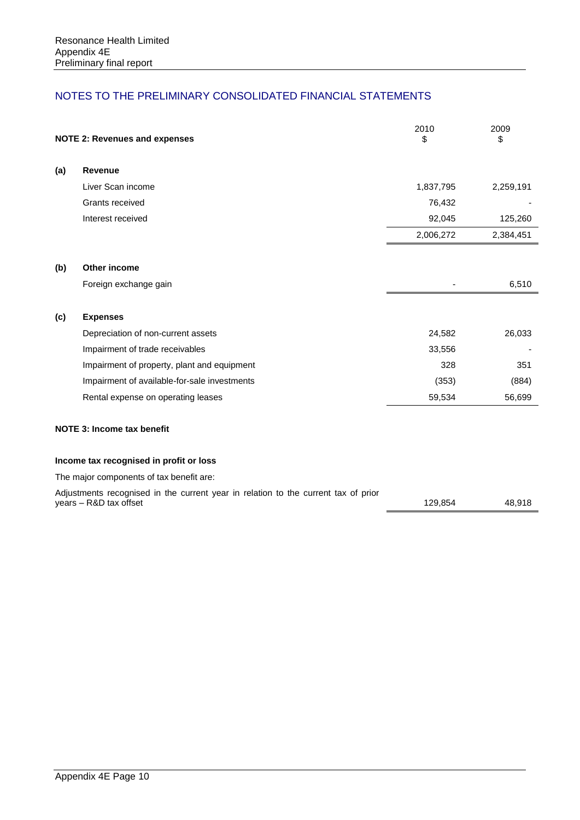|     | <b>NOTE 2: Revenues and expenses</b>                                                                         | 2010<br>\$ | 2009<br>\$ |
|-----|--------------------------------------------------------------------------------------------------------------|------------|------------|
| (a) | <b>Revenue</b>                                                                                               |            |            |
|     | Liver Scan income                                                                                            | 1,837,795  | 2,259,191  |
|     | Grants received                                                                                              | 76,432     |            |
|     | Interest received                                                                                            | 92,045     | 125,260    |
|     |                                                                                                              | 2,006,272  | 2,384,451  |
| (b) | Other income                                                                                                 |            |            |
|     | Foreign exchange gain                                                                                        |            | 6,510      |
| (c) | <b>Expenses</b>                                                                                              |            |            |
|     | Depreciation of non-current assets                                                                           | 24,582     | 26,033     |
|     | Impairment of trade receivables                                                                              | 33,556     |            |
|     | Impairment of property, plant and equipment                                                                  | 328        | 351        |
|     | Impairment of available-for-sale investments                                                                 | (353)      | (884)      |
|     | Rental expense on operating leases                                                                           | 59,534     | 56,699     |
|     | NOTE 3: Income tax benefit                                                                                   |            |            |
|     | Income tax recognised in profit or loss                                                                      |            |            |
|     | The major components of tax benefit are:                                                                     |            |            |
|     | Adjustments recognised in the current year in relation to the current tax of prior<br>years - R&D tax offset | 129,854    | 48,918     |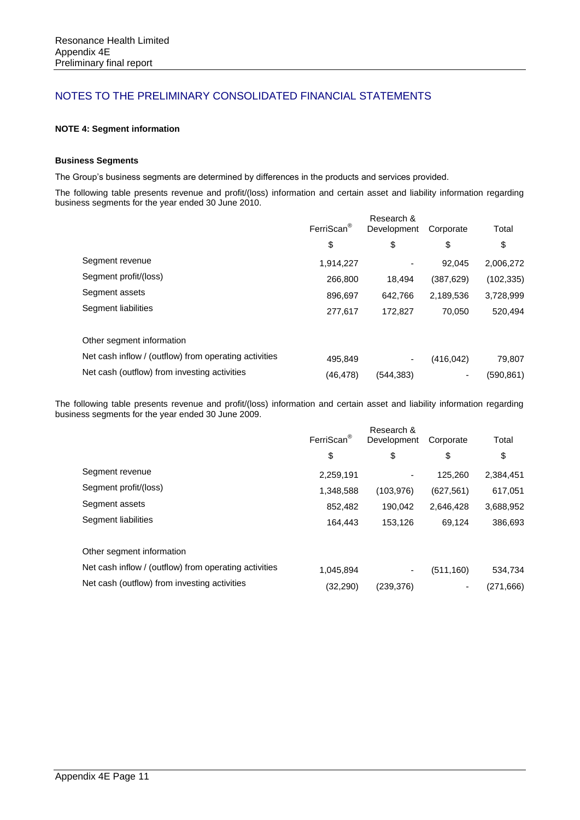#### **NOTE 4: Segment information**

#### **Business Segments**

The Group's business segments are determined by differences in the products and services provided.

The following table presents revenue and profit/(loss) information and certain asset and liability information regarding business segments for the year ended 30 June 2010.

|                                                       | Research &<br>FerriScan <sup>®</sup><br>Development |            | Corporate  | Total      |  |
|-------------------------------------------------------|-----------------------------------------------------|------------|------------|------------|--|
|                                                       | \$                                                  | \$         | \$         | \$         |  |
| Segment revenue                                       | 1,914,227                                           |            | 92.045     | 2,006,272  |  |
| Segment profit/(loss)                                 | 266,800                                             | 18,494     | (387, 629) | (102, 335) |  |
| Segment assets                                        | 896,697                                             | 642,766    | 2,189,536  | 3,728,999  |  |
| Segment liabilities                                   | 277,617                                             | 172,827    | 70.050     | 520,494    |  |
| Other segment information                             |                                                     |            |            |            |  |
| Net cash inflow / (outflow) from operating activities | 495.849                                             | ۰.         | (416, 042) | 79,807     |  |
| Net cash (outflow) from investing activities          | (46,478)                                            | (544, 383) |            | (590,861)  |  |

The following table presents revenue and profit/(loss) information and certain asset and liability information regarding business segments for the year ended 30 June 2009.

|                                                       | FerriScan <sup>®</sup> | Research &<br>Development | Corporate  | Total     |
|-------------------------------------------------------|------------------------|---------------------------|------------|-----------|
|                                                       | \$                     | \$                        | \$         | \$        |
| Segment revenue                                       | 2,259,191              |                           | 125,260    | 2,384,451 |
| Segment profit/(loss)                                 | 1,348,588              | (103, 976)                | (627, 561) | 617,051   |
| Segment assets                                        | 852,482                | 190.042                   | 2,646,428  | 3,688,952 |
| Segment liabilities                                   | 164,443                | 153,126                   | 69,124     | 386,693   |
| Other segment information                             |                        |                           |            |           |
| Net cash inflow / (outflow) from operating activities | 1,045,894              | ۰                         | (511, 160) | 534,734   |
| Net cash (outflow) from investing activities          | (32, 290)              | (239, 376)                |            | (271,666) |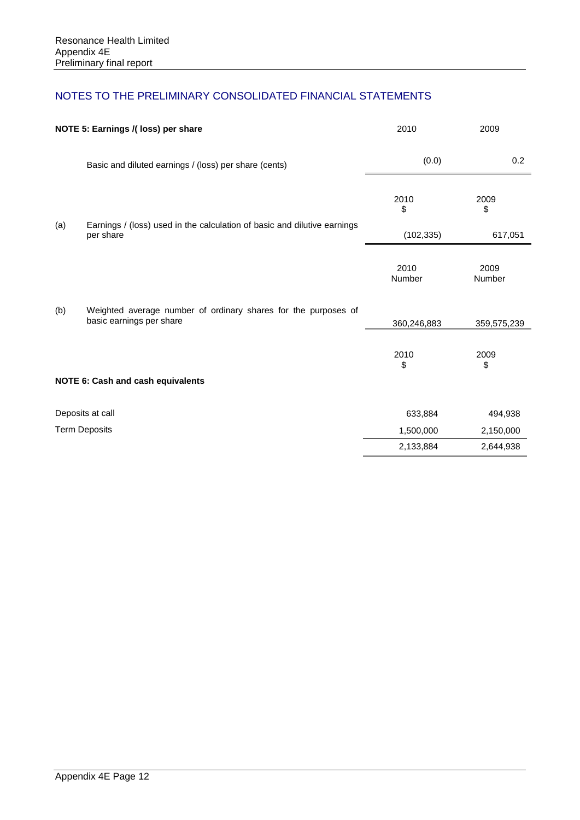|     | NOTE 5: Earnings /(loss) per share                                                         | 2010                     | 2009                  |
|-----|--------------------------------------------------------------------------------------------|--------------------------|-----------------------|
|     | Basic and diluted earnings / (loss) per share (cents)                                      | (0.0)                    | 0.2                   |
| (a) | Earnings / (loss) used in the calculation of basic and dilutive earnings<br>per share      | 2010<br>\$<br>(102, 335) | 2009<br>\$<br>617,051 |
|     |                                                                                            | 2010<br><b>Number</b>    | 2009<br>Number        |
| (b) | Weighted average number of ordinary shares for the purposes of<br>basic earnings per share | 360,246,883              | 359,575,239           |
|     |                                                                                            | 2010<br>\$               | 2009<br>\$            |
|     | NOTE 6: Cash and cash equivalents                                                          |                          |                       |
|     | Deposits at call                                                                           | 633,884                  | 494,938               |
|     | <b>Term Deposits</b>                                                                       | 1,500,000                | 2,150,000             |
|     |                                                                                            | 2,133,884                | 2,644,938             |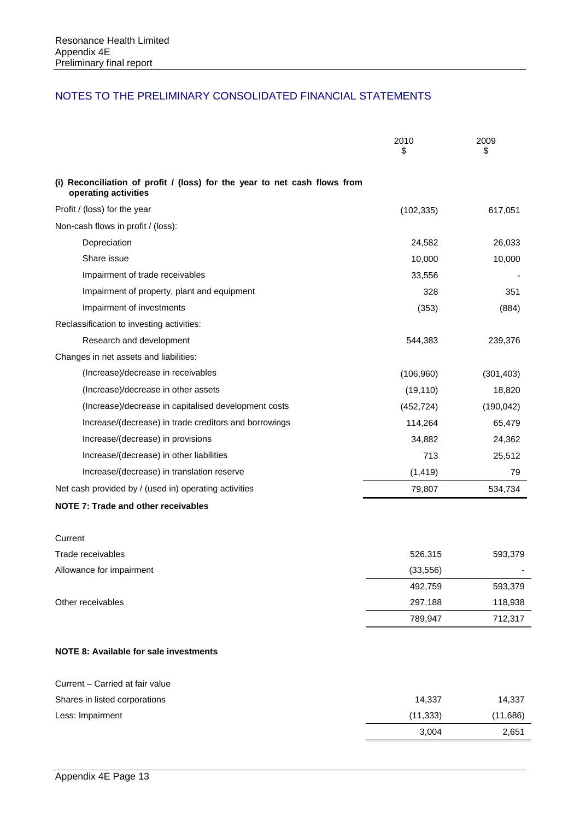|                                                                                                   | 2010<br>\$ | 2009<br>\$ |
|---------------------------------------------------------------------------------------------------|------------|------------|
| (i) Reconciliation of profit / (loss) for the year to net cash flows from<br>operating activities |            |            |
| Profit / (loss) for the year                                                                      | (102, 335) | 617,051    |
| Non-cash flows in profit / (loss):                                                                |            |            |
| Depreciation                                                                                      | 24,582     | 26,033     |
| Share issue                                                                                       | 10,000     | 10,000     |
| Impairment of trade receivables                                                                   | 33,556     |            |
| Impairment of property, plant and equipment                                                       | 328        | 351        |
| Impairment of investments                                                                         | (353)      | (884)      |
| Reclassification to investing activities:                                                         |            |            |
| Research and development                                                                          | 544,383    | 239,376    |
| Changes in net assets and liabilities:                                                            |            |            |
| (Increase)/decrease in receivables                                                                | (106, 960) | (301, 403) |
| (Increase)/decrease in other assets                                                               | (19, 110)  | 18,820     |
| (Increase)/decrease in capitalised development costs                                              | (452, 724) | (190, 042) |
| Increase/(decrease) in trade creditors and borrowings                                             | 114,264    | 65,479     |
| Increase/(decrease) in provisions                                                                 | 34,882     | 24,362     |
| Increase/(decrease) in other liabilities                                                          | 713        | 25,512     |
| Increase/(decrease) in translation reserve                                                        | (1, 419)   | 79         |
| Net cash provided by / (used in) operating activities                                             | 79,807     | 534,734    |
| <b>NOTE 7: Trade and other receivables</b>                                                        |            |            |
| Current                                                                                           |            |            |
| Trade receivables                                                                                 | 526,315    | 593,379    |
| Allowance for impairment                                                                          | (33, 556)  |            |
|                                                                                                   | 492,759    | 593,379    |
| Other receivables                                                                                 | 297,188    | 118,938    |
|                                                                                                   | 789,947    | 712,317    |
| <b>NOTE 8: Available for sale investments</b><br>Current - Carried at fair value                  |            |            |
|                                                                                                   |            |            |

| Shares in listed corporations | 14.337    | 14,337   |
|-------------------------------|-----------|----------|
| Less: Impairment              | (11, 333) | (11,686) |
|                               | 3.004     | 2,651    |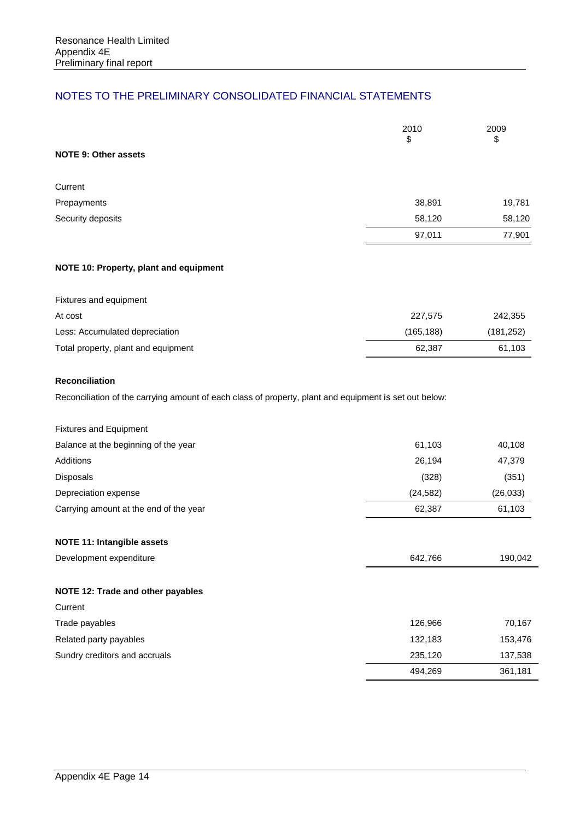|                                        | 2010<br>\$ | 2009<br>\$ |
|----------------------------------------|------------|------------|
| <b>NOTE 9: Other assets</b>            |            |            |
| Current                                |            |            |
| Prepayments                            | 38,891     | 19,781     |
| Security deposits                      | 58,120     | 58,120     |
|                                        | 97,011     | 77,901     |
| NOTE 10: Property, plant and equipment |            |            |
| Fixtures and equipment                 |            |            |
| At cost                                | 227,575    | 242,355    |

| Less: Accumulated depreciation      | (165, 188) | (181, 252) |
|-------------------------------------|------------|------------|
| Total property, plant and equipment | 62.387     | 61.103     |

### **Reconciliation**

Reconciliation of the carrying amount of each class of property, plant and equipment is set out below:

| <b>Fixtures and Equipment</b>          |           |           |
|----------------------------------------|-----------|-----------|
| Balance at the beginning of the year   | 61,103    | 40,108    |
| Additions                              | 26.194    | 47,379    |
| <b>Disposals</b>                       | (328)     | (351)     |
| Depreciation expense                   | (24, 582) | (26, 033) |
| Carrying amount at the end of the year | 62,387    | 61,103    |

### **NOTE 11: Intangible assets**

| Development expenditure           | 642,766 | 190,042 |
|-----------------------------------|---------|---------|
|                                   |         |         |
| NOTE 12: Trade and other payables |         |         |
| Current                           |         |         |
| Trade payables                    | 126,966 | 70,167  |
| Related party payables            | 132,183 | 153,476 |
| Sundry creditors and accruals     | 235,120 | 137,538 |
|                                   | 494,269 | 361,181 |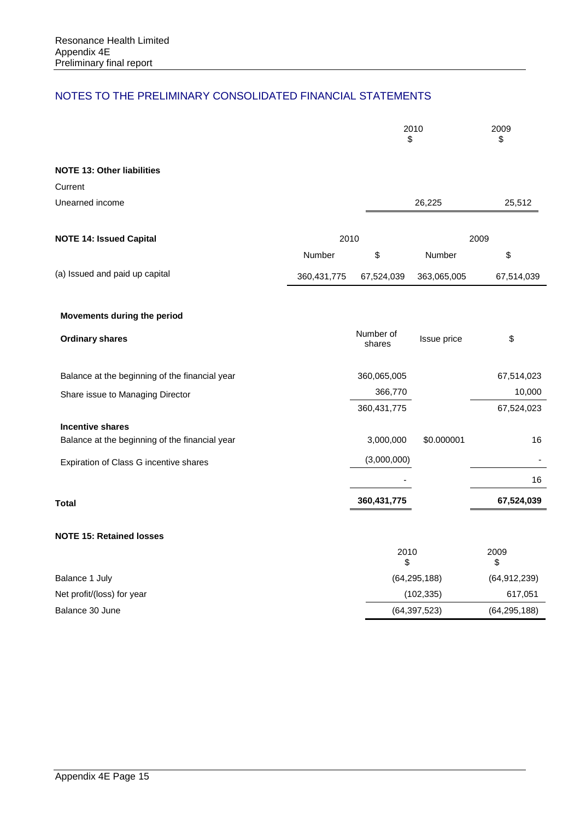|                                                |             | \$                  | 2010                             | 2009<br>\$     |
|------------------------------------------------|-------------|---------------------|----------------------------------|----------------|
| <b>NOTE 13: Other liabilities</b>              |             |                     |                                  |                |
| Current                                        |             |                     |                                  |                |
| Unearned income                                |             |                     | 26,225                           | 25,512         |
| <b>NOTE 14: Issued Capital</b>                 |             | 2010                |                                  | 2009           |
|                                                | Number      | \$                  | Number                           | \$             |
| (a) Issued and paid up capital                 | 360,431,775 | 67,524,039          | 363,065,005                      | 67,514,039     |
| Movements during the period                    |             |                     |                                  |                |
| <b>Ordinary shares</b>                         |             | Number of<br>shares | Issue price                      | \$             |
| Balance at the beginning of the financial year |             | 360,065,005         |                                  | 67,514,023     |
| Share issue to Managing Director               |             | 366,770             |                                  | 10,000         |
|                                                |             | 360,431,775         |                                  | 67,524,023     |
| <b>Incentive shares</b>                        |             |                     |                                  |                |
| Balance at the beginning of the financial year |             | 3,000,000           | \$0.000001                       | 16             |
| Expiration of Class G incentive shares         |             | (3,000,000)         |                                  |                |
|                                                |             |                     |                                  | 16             |
| <b>Total</b>                                   |             | 360,431,775         |                                  | 67,524,039     |
| <b>NOTE 15: Retained losses</b>                |             |                     |                                  |                |
|                                                |             | 2010<br>\$          |                                  | 2009<br>\$     |
| Balance 1 July                                 |             |                     | (64, 295, 188)<br>(64, 912, 239) |                |
| Net profit/(loss) for year                     |             |                     | (102, 335)<br>617,051            |                |
| Balance 30 June                                |             |                     | (64, 397, 523)                   | (64, 295, 188) |